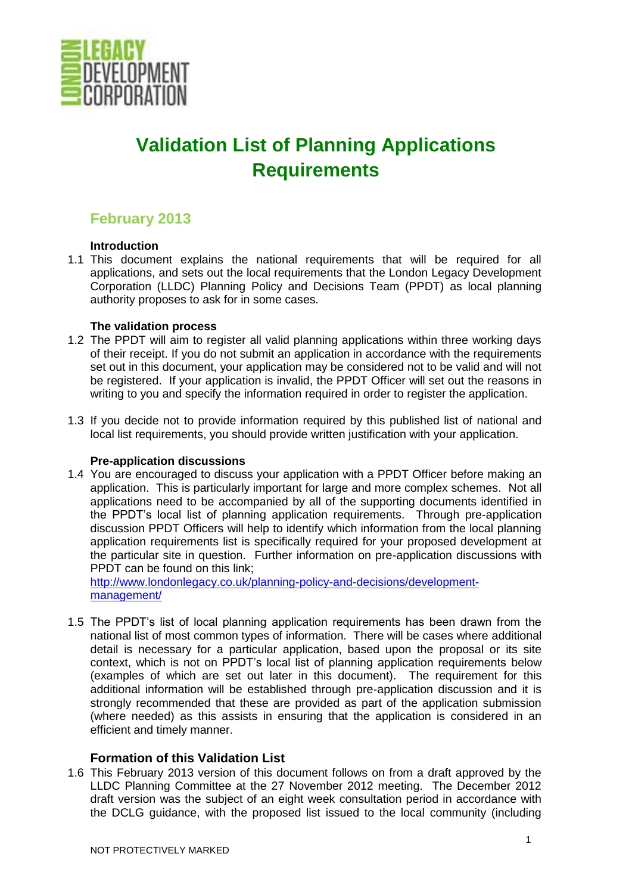

# **Validation List of Planning Applications Requirements**

# **February 2013**

# **Introduction**

1.1 This document explains the national requirements that will be required for all applications, and sets out the local requirements that the London Legacy Development Corporation (LLDC) Planning Policy and Decisions Team (PPDT) as local planning authority proposes to ask for in some cases.

# **The validation process**

- 1.2 The PPDT will aim to register all valid planning applications within three working days of their receipt. If you do not submit an application in accordance with the requirements set out in this document, your application may be considered not to be valid and will not be registered. If your application is invalid, the PPDT Officer will set out the reasons in writing to you and specify the information required in order to register the application.
- 1.3 If you decide not to provide information required by this published list of national and local list requirements, you should provide written justification with your application.

# **Pre-application discussions**

1.4 You are encouraged to discuss your application with a PPDT Officer before making an application. This is particularly important for large and more complex schemes. Not all applications need to be accompanied by all of the supporting documents identified in the PPDT's local list of planning application requirements. Through pre-application discussion PPDT Officers will help to identify which information from the local planning application requirements list is specifically required for your proposed development at the particular site in question. Further information on pre-application discussions with PPDT can be found on this link;

[http://www.londonlegacy.co.uk/planning-policy-and-decisions/development](http://www.londonlegacy.co.uk/planning-policy-and-decisions/development-management/)[management/](http://www.londonlegacy.co.uk/planning-policy-and-decisions/development-management/)

1.5 The PPDT's list of local planning application requirements has been drawn from the national list of most common types of information. There will be cases where additional detail is necessary for a particular application, based upon the proposal or its site context, which is not on PPDT's local list of planning application requirements below (examples of which are set out later in this document). The requirement for this additional information will be established through pre-application discussion and it is strongly recommended that these are provided as part of the application submission (where needed) as this assists in ensuring that the application is considered in an efficient and timely manner.

# **Formation of this Validation List**

1.6 This February 2013 version of this document follows on from a draft approved by the LLDC Planning Committee at the 27 November 2012 meeting. The December 2012 draft version was the subject of an eight week consultation period in accordance with the DCLG guidance, with the proposed list issued to the local community (including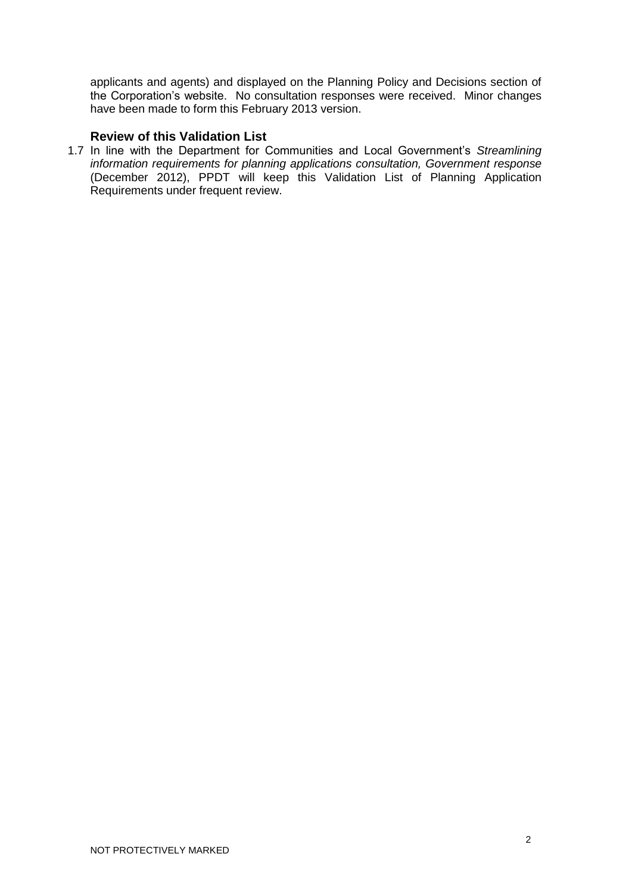applicants and agents) and displayed on the Planning Policy and Decisions section of the Corporation's website. No consultation responses were received. Minor changes have been made to form this February 2013 version.

# **Review of this Validation List**

1.7 In line with the Department for Communities and Local Government's *Streamlining information requirements for planning applications consultation, Government response* (December 2012), PPDT will keep this Validation List of Planning Application Requirements under frequent review.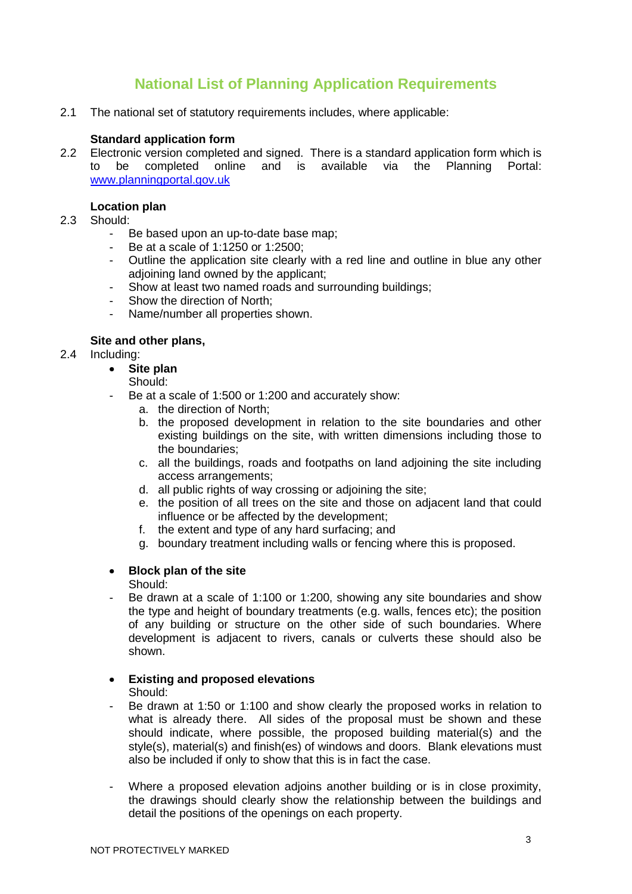# **National List of Planning Application Requirements**

2.1 The national set of statutory requirements includes, where applicable:

#### **Standard application form**

2.2 Electronic version completed and signed. There is a standard application form which is to be completed online and is available via the Planning Portal: [www.planningportal.gov.uk](http://www.planningportal.gov.uk/)

#### **Location plan**

- 2.3 Should:
	- Be based upon an up-to-date base map:
	- Be at a scale of 1:1250 or 1:2500;
	- Outline the application site clearly with a red line and outline in blue any other adjoining land owned by the applicant;
	- Show at least two named roads and surrounding buildings;
	- Show the direction of North;
	- Name/number all properties shown.

#### **Site and other plans,**

- 2.4 Including:
	- **Site plan**
	- Should:
	- Be at a scale of 1:500 or 1:200 and accurately show:
		- a. the direction of North;
		- b. the proposed development in relation to the site boundaries and other existing buildings on the site, with written dimensions including those to the boundaries;
		- c. all the buildings, roads and footpaths on land adjoining the site including access arrangements;
		- d. all public rights of way crossing or adjoining the site;
		- e. the position of all trees on the site and those on adjacent land that could influence or be affected by the development;
		- f. the extent and type of any hard surfacing; and
		- g. boundary treatment including walls or fencing where this is proposed.

# **Block plan of the site**

Should:

- Be drawn at a scale of 1:100 or 1:200, showing any site boundaries and show the type and height of boundary treatments (e.g. walls, fences etc); the position of any building or structure on the other side of such boundaries. Where development is adjacent to rivers, canals or culverts these should also be shown.
- **Existing and proposed elevations** Should:
- Be drawn at 1:50 or 1:100 and show clearly the proposed works in relation to what is already there. All sides of the proposal must be shown and these should indicate, where possible, the proposed building material(s) and the style(s), material(s) and finish(es) of windows and doors. Blank elevations must also be included if only to show that this is in fact the case.
- Where a proposed elevation adjoins another building or is in close proximity, the drawings should clearly show the relationship between the buildings and detail the positions of the openings on each property.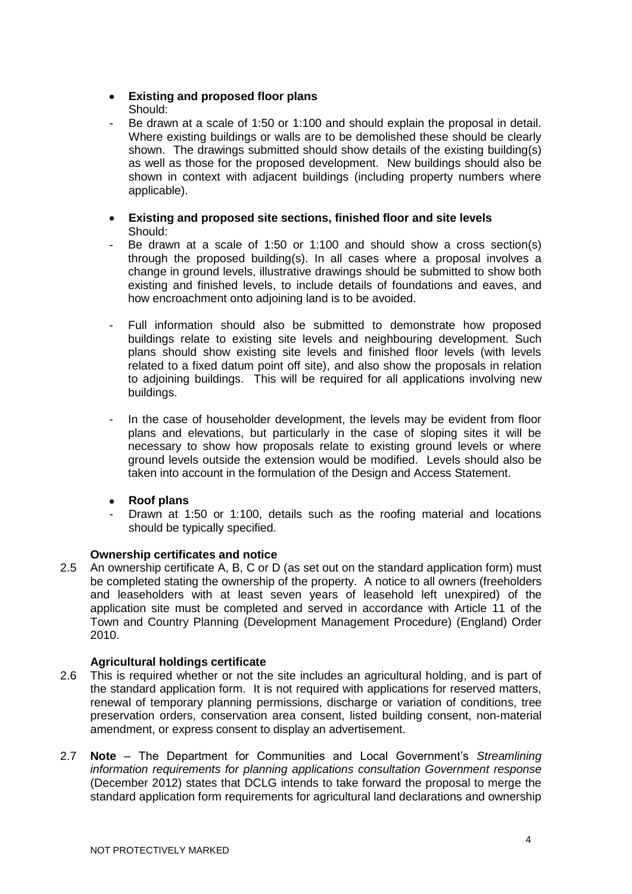# **Existing and proposed floor plans** Should:

- Be drawn at a scale of 1:50 or 1:100 and should explain the proposal in detail. Where existing buildings or walls are to be demolished these should be clearly shown. The drawings submitted should show details of the existing building(s) as well as those for the proposed development. New buildings should also be shown in context with adjacent buildings (including property numbers where applicable).
- **Existing and proposed site sections, finished floor and site levels** Should:
- Be drawn at a scale of 1:50 or 1:100 and should show a cross section(s) through the proposed building(s). In all cases where a proposal involves a change in ground levels, illustrative drawings should be submitted to show both existing and finished levels, to include details of foundations and eaves, and how encroachment onto adjoining land is to be avoided.
- Full information should also be submitted to demonstrate how proposed buildings relate to existing site levels and neighbouring development. Such plans should show existing site levels and finished floor levels (with levels related to a fixed datum point off site), and also show the proposals in relation to adjoining buildings. This will be required for all applications involving new buildings.
- In the case of householder development, the levels may be evident from floor plans and elevations, but particularly in the case of sloping sites it will be necessary to show how proposals relate to existing ground levels or where ground levels outside the extension would be modified. Levels should also be taken into account in the formulation of the Design and Access Statement.
- **Roof plans**
- Drawn at 1:50 or 1:100, details such as the roofing material and locations should be typically specified.

# **Ownership certificates and notice**

2.5 An ownership certificate A, B, C or D (as set out on the standard application form) must be completed stating the ownership of the property. A notice to all owners (freeholders and leaseholders with at least seven years of leasehold left unexpired) of the application site must be completed and served in accordance with Article 11 of the Town and Country Planning (Development Management Procedure) (England) Order 2010.

# **Agricultural holdings certificate**

- 2.6 This is required whether or not the site includes an agricultural holding, and is part of the standard application form. It is not required with applications for reserved matters, renewal of temporary planning permissions, discharge or variation of conditions, tree preservation orders, conservation area consent, listed building consent, non-material amendment, or express consent to display an advertisement.
- 2.7 **Note** The Department for Communities and Local Government's *Streamlining information requirements for planning applications consultation Government response*  (December 2012) states that DCLG intends to take forward the proposal to merge the standard application form requirements for agricultural land declarations and ownership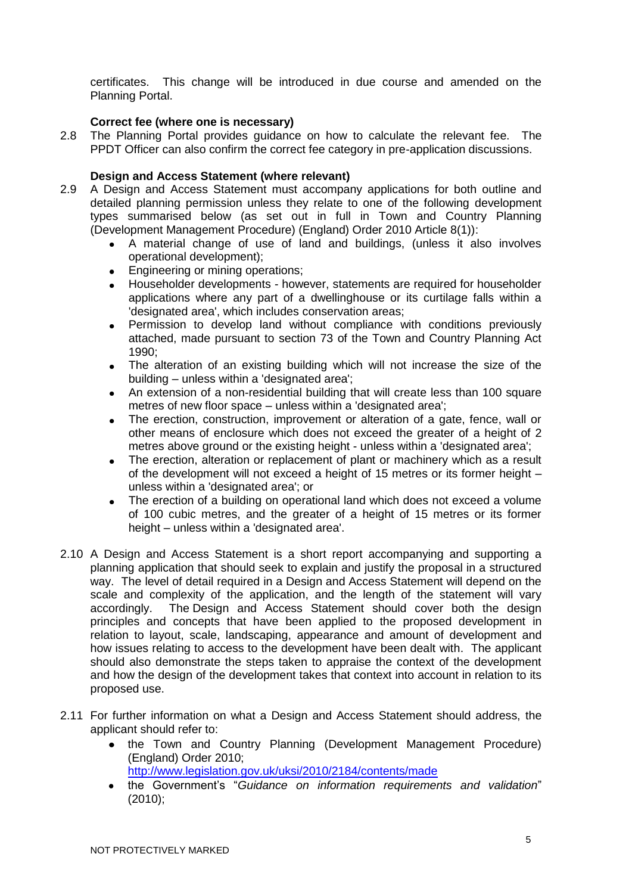certificates. This change will be introduced in due course and amended on the Planning Portal.

# **Correct fee (where one is necessary)**

2.8 The Planning Portal provides guidance on how to calculate the relevant fee. The PPDT Officer can also confirm the correct fee category in pre-application discussions.

# **Design and Access Statement (where relevant)**

- 2.9 A Design and Access Statement must accompany applications for both outline and detailed planning permission unless they relate to one of the following development types summarised below (as set out in full in Town and Country Planning (Development Management Procedure) (England) Order 2010 Article 8(1)):
	- A material change of use of land and buildings, (unless it also involves operational development);
	- Engineering or mining operations;
	- Householder developments however, statements are required for householder applications where any part of a dwellinghouse or its curtilage falls within a 'designated area', which includes conservation areas;
	- Permission to develop land without compliance with conditions previously attached, made pursuant to section 73 of the Town and Country Planning Act 1990;
	- The alteration of an existing building which will not increase the size of the building – unless within a 'designated area';
	- An extension of a non-residential building that will create less than 100 square metres of new floor space – unless within a 'designated area';
	- The erection, construction, improvement or alteration of a gate, fence, wall or  $\bullet$ other means of enclosure which does not exceed the greater of a height of 2 metres above ground or the existing height - unless within a 'designated area';
	- The erection, alteration or replacement of plant or machinery which as a result  $\bullet$ of the development will not exceed a height of 15 metres or its former height – unless within a 'designated area'; or
	- The erection of a building on operational land which does not exceed a volume of 100 cubic metres, and the greater of a height of 15 metres or its former height – unless within a 'designated area'.
- 2.10 A Design and Access Statement is a short report accompanying and supporting a planning application that should seek to explain and justify the proposal in a structured way. The level of detail required in a Design and Access Statement will depend on the scale and complexity of the application, and the length of the statement will vary accordingly. The Design and Access Statement should cover both the design principles and concepts that have been applied to the proposed development in relation to layout, scale, landscaping, appearance and amount of development and how issues relating to access to the development have been dealt with. The applicant should also demonstrate the steps taken to appraise the context of the development and how the design of the development takes that context into account in relation to its proposed use.
- 2.11 For further information on what a Design and Access Statement should address, the applicant should refer to:
	- the Town and Country Planning (Development Management Procedure) (England) Order 2010;

<http://www.legislation.gov.uk/uksi/2010/2184/contents/made>

the Government's "*Guidance on information requirements and validation*" (2010);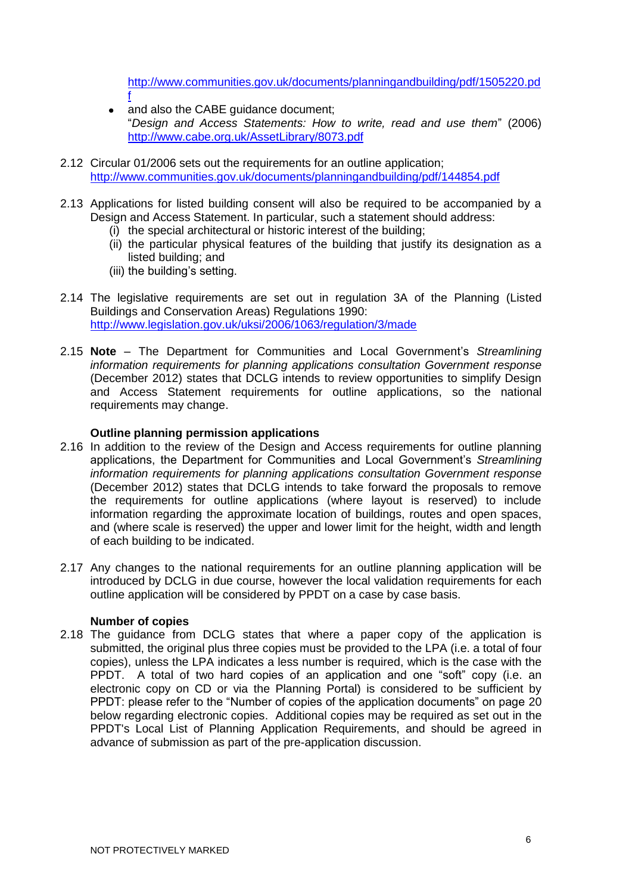[http://www.communities.gov.uk/documents/planningandbuilding/pdf/1505220.pd](http://www.communities.gov.uk/documents/planningandbuilding/pdf/1505220.pdf)

- and also the CABE guidance document; "*Design and Access Statements: How to write, read and use them*" (2006) <http://www.cabe.org.uk/AssetLibrary/8073.pdf>
- 2.12 Circular 01/2006 sets out the requirements for an outline application; <http://www.communities.gov.uk/documents/planningandbuilding/pdf/144854.pdf>
- 2.13 Applications for listed building consent will also be required to be accompanied by a Design and Access Statement. In particular, such a statement should address:
	- (i) the special architectural or historic interest of the building;
	- (ii) the particular physical features of the building that justify its designation as a listed building; and
	- (iii) the building's setting.

[f](http://www.communities.gov.uk/documents/planningandbuilding/pdf/1505220.pdf)

- 2.14 The legislative requirements are set out in regulation 3A of the Planning (Listed Buildings and Conservation Areas) Regulations 1990: <http://www.legislation.gov.uk/uksi/2006/1063/regulation/3/made>
- 2.15 **Note** The Department for Communities and Local Government's *Streamlining information requirements for planning applications consultation Government response* (December 2012) states that DCLG intends to review opportunities to simplify Design and Access Statement requirements for outline applications, so the national requirements may change.

# **Outline planning permission applications**

- 2.16 In addition to the review of the Design and Access requirements for outline planning applications, the Department for Communities and Local Government's *Streamlining information requirements for planning applications consultation Government response* (December 2012) states that DCLG intends to take forward the proposals to remove the requirements for outline applications (where layout is reserved) to include information regarding the approximate location of buildings, routes and open spaces, and (where scale is reserved) the upper and lower limit for the height, width and length of each building to be indicated.
- 2.17 Any changes to the national requirements for an outline planning application will be introduced by DCLG in due course, however the local validation requirements for each outline application will be considered by PPDT on a case by case basis.

#### **Number of copies**

2.18 The guidance from DCLG states that where a paper copy of the application is submitted, the original plus three copies must be provided to the LPA (i.e. a total of four copies), unless the LPA indicates a less number is required, which is the case with the PPDT. A total of two hard copies of an application and one "soft" copy (i.e. an electronic copy on CD or via the Planning Portal) is considered to be sufficient by PPDT: please refer to the "Number of copies of the application documents" on page 20 below regarding electronic copies. Additional copies may be required as set out in the PPDT's Local List of Planning Application Requirements, and should be agreed in advance of submission as part of the pre-application discussion.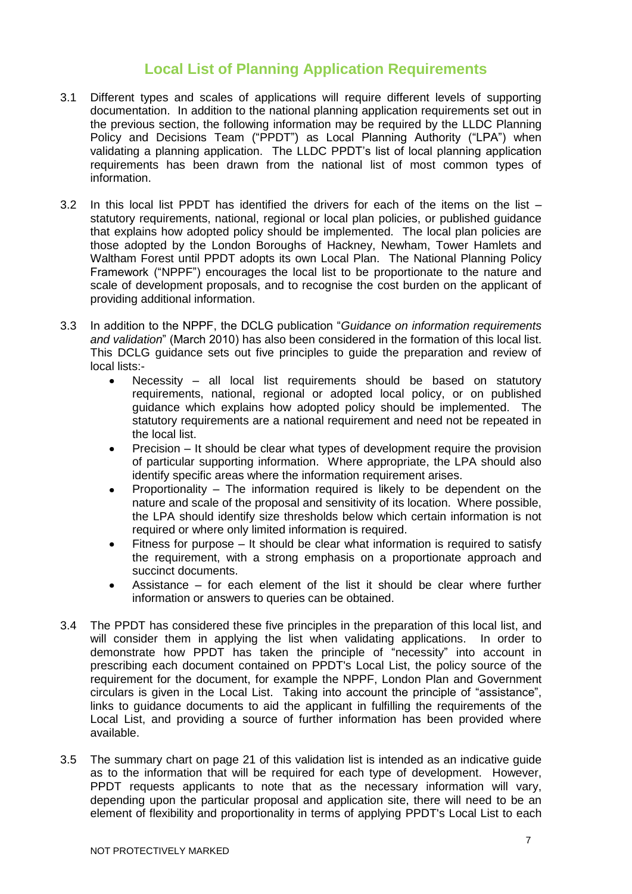# **Local List of Planning Application Requirements**

- 3.1 Different types and scales of applications will require different levels of supporting documentation. In addition to the national planning application requirements set out in the previous section, the following information may be required by the LLDC Planning Policy and Decisions Team ("PPDT") as Local Planning Authority ("LPA") when validating a planning application. The LLDC PPDT's list of local planning application requirements has been drawn from the national list of most common types of information.
- 3.2 In this local list PPDT has identified the drivers for each of the items on the list statutory requirements, national, regional or local plan policies, or published guidance that explains how adopted policy should be implemented. The local plan policies are those adopted by the London Boroughs of Hackney, Newham, Tower Hamlets and Waltham Forest until PPDT adopts its own Local Plan. The National Planning Policy Framework ("NPPF") encourages the local list to be proportionate to the nature and scale of development proposals, and to recognise the cost burden on the applicant of providing additional information.
- 3.3 In addition to the NPPF, the DCLG publication "*Guidance on information requirements and validation*" (March 2010) has also been considered in the formation of this local list. This DCLG guidance sets out five principles to guide the preparation and review of local lists:-
	- Necessity all local list requirements should be based on statutory requirements, national, regional or adopted local policy, or on published guidance which explains how adopted policy should be implemented. The statutory requirements are a national requirement and need not be repeated in the local list.
	- Precision It should be clear what types of development require the provision  $\bullet$ of particular supporting information. Where appropriate, the LPA should also identify specific areas where the information requirement arises.
	- Proportionality The information required is likely to be dependent on the nature and scale of the proposal and sensitivity of its location. Where possible, the LPA should identify size thresholds below which certain information is not required or where only limited information is required.
	- Fitness for purpose It should be clear what information is required to satisfy  $\bullet$ the requirement, with a strong emphasis on a proportionate approach and succinct documents.
	- Assistance for each element of the list it should be clear where further  $\bullet$ information or answers to queries can be obtained.
- 3.4 The PPDT has considered these five principles in the preparation of this local list, and will consider them in applying the list when validating applications. In order to demonstrate how PPDT has taken the principle of "necessity" into account in prescribing each document contained on PPDT's Local List, the policy source of the requirement for the document, for example the NPPF, London Plan and Government circulars is given in the Local List. Taking into account the principle of "assistance", links to guidance documents to aid the applicant in fulfilling the requirements of the Local List, and providing a source of further information has been provided where available.
- 3.5 The summary chart on page 21 of this validation list is intended as an indicative guide as to the information that will be required for each type of development. However, PPDT requests applicants to note that as the necessary information will vary, depending upon the particular proposal and application site, there will need to be an element of flexibility and proportionality in terms of applying PPDT's Local List to each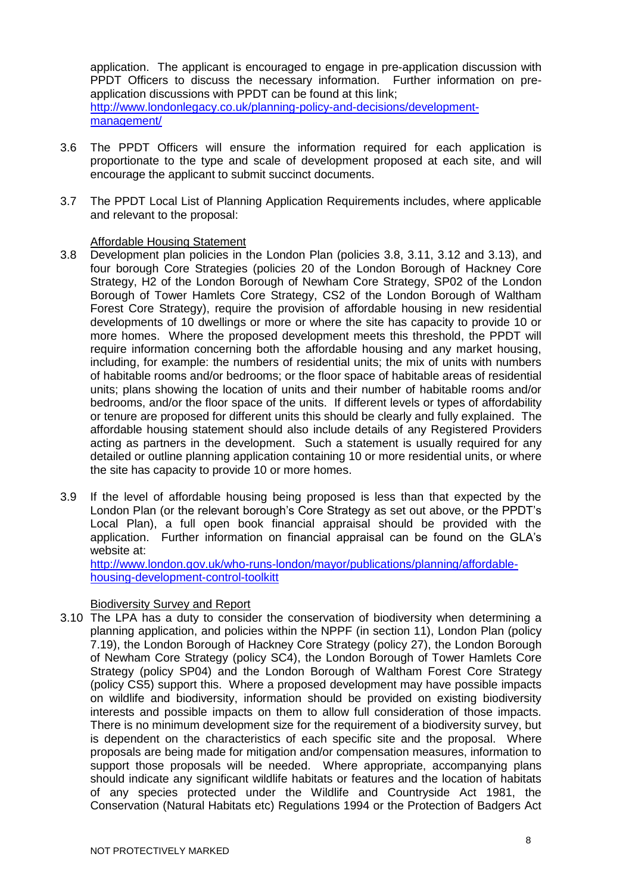application. The applicant is encouraged to engage in pre-application discussion with PPDT Officers to discuss the necessary information. Further information on preapplication discussions with PPDT can be found at this link; [http://www.londonlegacy.co.uk/planning-policy-and-decisions/development](http://www.londonlegacy.co.uk/planning-policy-and-decisions/development-management/)[management/](http://www.londonlegacy.co.uk/planning-policy-and-decisions/development-management/)

- 3.6 The PPDT Officers will ensure the information required for each application is proportionate to the type and scale of development proposed at each site, and will encourage the applicant to submit succinct documents.
- 3.7 The PPDT Local List of Planning Application Requirements includes, where applicable and relevant to the proposal:

#### Affordable Housing Statement

- 3.8 Development plan policies in the London Plan (policies 3.8, 3.11, 3.12 and 3.13), and four borough Core Strategies (policies 20 of the London Borough of Hackney Core Strategy, H2 of the London Borough of Newham Core Strategy, SP02 of the London Borough of Tower Hamlets Core Strategy, CS2 of the London Borough of Waltham Forest Core Strategy), require the provision of affordable housing in new residential developments of 10 dwellings or more or where the site has capacity to provide 10 or more homes. Where the proposed development meets this threshold, the PPDT will require information concerning both the affordable housing and any market housing, including, for example: the numbers of residential units; the mix of units with numbers of habitable rooms and/or bedrooms; or the floor space of habitable areas of residential units; plans showing the location of units and their number of habitable rooms and/or bedrooms, and/or the floor space of the units. If different levels or types of affordability or tenure are proposed for different units this should be clearly and fully explained. The affordable housing statement should also include details of any Registered Providers acting as partners in the development. Such a statement is usually required for any detailed or outline planning application containing 10 or more residential units, or where the site has capacity to provide 10 or more homes.
- 3.9 If the level of affordable housing being proposed is less than that expected by the London Plan (or the relevant borough's Core Strategy as set out above, or the PPDT's Local Plan), a full open book financial appraisal should be provided with the application. Further information on financial appraisal can be found on the GLA's website at:

[http://www.london.gov.uk/who-runs-london/mayor/publications/planning/affordable](http://www.london.gov.uk/who-runs-london/mayor/publications/planning/affordable-housing-development-control-toolkitt)[housing-development-control-toolkitt](http://www.london.gov.uk/who-runs-london/mayor/publications/planning/affordable-housing-development-control-toolkitt)

# Biodiversity Survey and Report

3.10 The LPA has a duty to consider the conservation of biodiversity when determining a planning application, and policies within the NPPF (in section 11), London Plan (policy 7.19), the London Borough of Hackney Core Strategy (policy 27), the London Borough of Newham Core Strategy (policy SC4), the London Borough of Tower Hamlets Core Strategy (policy SP04) and the London Borough of Waltham Forest Core Strategy (policy CS5) support this. Where a proposed development may have possible impacts on wildlife and biodiversity, information should be provided on existing biodiversity interests and possible impacts on them to allow full consideration of those impacts. There is no minimum development size for the requirement of a biodiversity survey, but is dependent on the characteristics of each specific site and the proposal. Where proposals are being made for mitigation and/or compensation measures, information to support those proposals will be needed. Where appropriate, accompanying plans should indicate any significant wildlife habitats or features and the location of habitats of any species protected under the Wildlife and Countryside Act 1981, the Conservation (Natural Habitats etc) Regulations 1994 or the Protection of Badgers Act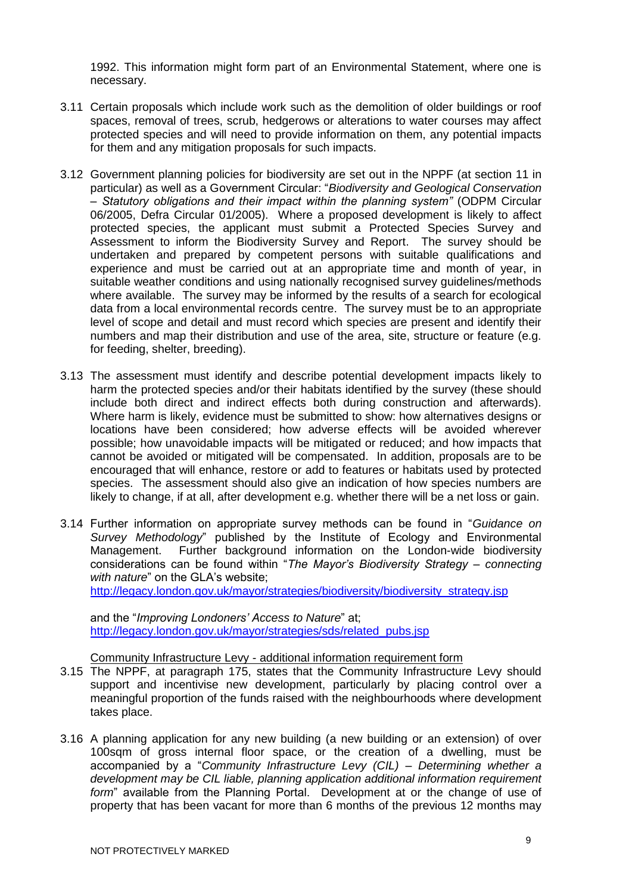1992. This information might form part of an Environmental Statement, where one is necessary.

- 3.11 Certain proposals which include work such as the demolition of older buildings or roof spaces, removal of trees, scrub, hedgerows or alterations to water courses may affect protected species and will need to provide information on them, any potential impacts for them and any mitigation proposals for such impacts.
- 3.12 Government planning policies for biodiversity are set out in the NPPF (at section 11 in particular) as well as a Government Circular: "*Biodiversity and Geological Conservation – Statutory obligations and their impact within the planning system"* (ODPM Circular 06/2005, Defra Circular 01/2005). Where a proposed development is likely to affect protected species, the applicant must submit a Protected Species Survey and Assessment to inform the Biodiversity Survey and Report. The survey should be undertaken and prepared by competent persons with suitable qualifications and experience and must be carried out at an appropriate time and month of year, in suitable weather conditions and using nationally recognised survey guidelines/methods where available. The survey may be informed by the results of a search for ecological data from a local environmental records centre. The survey must be to an appropriate level of scope and detail and must record which species are present and identify their numbers and map their distribution and use of the area, site, structure or feature (e.g. for feeding, shelter, breeding).
- 3.13 The assessment must identify and describe potential development impacts likely to harm the protected species and/or their habitats identified by the survey (these should include both direct and indirect effects both during construction and afterwards). Where harm is likely, evidence must be submitted to show: how alternatives designs or locations have been considered; how adverse effects will be avoided wherever possible; how unavoidable impacts will be mitigated or reduced; and how impacts that cannot be avoided or mitigated will be compensated. In addition, proposals are to be encouraged that will enhance, restore or add to features or habitats used by protected species. The assessment should also give an indication of how species numbers are likely to change, if at all, after development e.g. whether there will be a net loss or gain.
- 3.14 Further information on appropriate survey methods can be found in "*Guidance on Survey Methodology*" published by the Institute of Ecology and Environmental Management. Further background information on the London-wide biodiversity considerations can be found within "*The Mayor's Biodiversity Strategy – connecting with nature*" on the GLA's website; [http://legacy.london.gov.uk/mayor/strategies/biodiversity/biodiversity\\_strategy.jsp](http://legacy.london.gov.uk/mayor/strategies/biodiversity/biodiversity_strategy.jsp)

and the "*Improving Londoners' Access to Nature*" at;

[http://legacy.london.gov.uk/mayor/strategies/sds/related\\_pubs.jsp](http://legacy.london.gov.uk/mayor/strategies/sds/related_pubs.jsp)

Community Infrastructure Levy - additional information requirement form

- 3.15 The NPPF, at paragraph 175, states that the Community Infrastructure Levy should support and incentivise new development, particularly by placing control over a meaningful proportion of the funds raised with the neighbourhoods where development takes place.
- 3.16 A planning application for any new building (a new building or an extension) of over 100sqm of gross internal floor space, or the creation of a dwelling, must be accompanied by a "*Community Infrastructure Levy (CIL) – Determining whether a development may be CIL liable, planning application additional information requirement form*" available from the Planning Portal. Development at or the change of use of property that has been vacant for more than 6 months of the previous 12 months may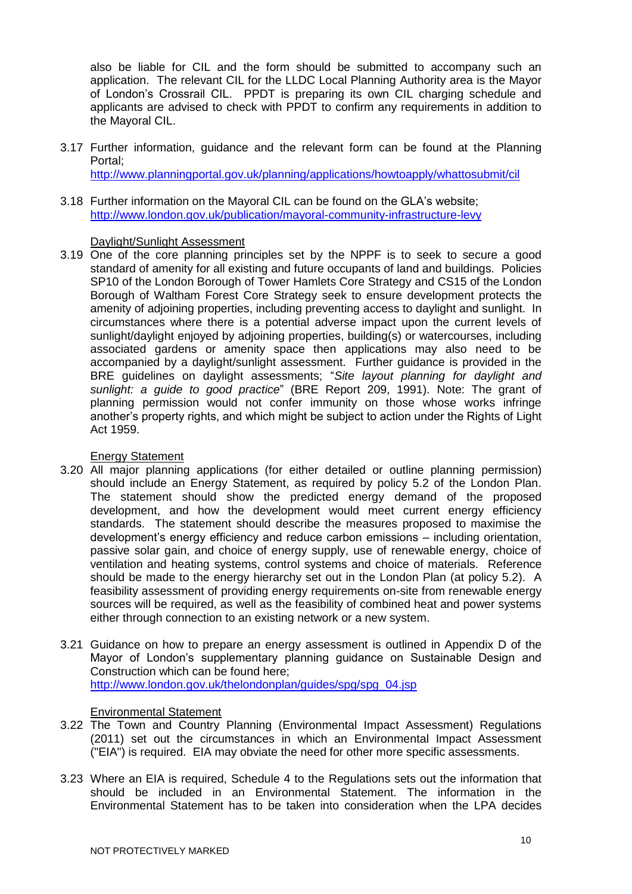also be liable for CIL and the form should be submitted to accompany such an application. The relevant CIL for the LLDC Local Planning Authority area is the Mayor of London's Crossrail CIL. PPDT is preparing its own CIL charging schedule and applicants are advised to check with PPDT to confirm any requirements in addition to the Mayoral CIL.

- 3.17 Further information, guidance and the relevant form can be found at the Planning Portal; <http://www.planningportal.gov.uk/planning/applications/howtoapply/whattosubmit/cil>
- 3.18 Further information on the Mayoral CIL can be found on the GLA's website; <http://www.london.gov.uk/publication/mayoral-community-infrastructure-levy>

# Daylight/Sunlight Assessment

3.19 One of the core planning principles set by the NPPF is to seek to secure a good standard of amenity for all existing and future occupants of land and buildings. Policies SP10 of the London Borough of Tower Hamlets Core Strategy and CS15 of the London Borough of Waltham Forest Core Strategy seek to ensure development protects the amenity of adjoining properties, including preventing access to daylight and sunlight. In circumstances where there is a potential adverse impact upon the current levels of sunlight/daylight enjoyed by adjoining properties, building(s) or watercourses, including associated gardens or amenity space then applications may also need to be accompanied by a daylight/sunlight assessment. Further guidance is provided in the BRE guidelines on daylight assessments; "*Site layout planning for daylight and sunlight: a guide to good practice*" (BRE Report 209, 1991). Note: The grant of planning permission would not confer immunity on those whose works infringe another's property rights, and which might be subject to action under the Rights of Light Act 1959.

# Energy Statement

- 3.20 All major planning applications (for either detailed or outline planning permission) should include an Energy Statement, as required by policy 5.2 of the London Plan. The statement should show the predicted energy demand of the proposed development, and how the development would meet current energy efficiency standards. The statement should describe the measures proposed to maximise the development's energy efficiency and reduce carbon emissions – including orientation, passive solar gain, and choice of energy supply, use of renewable energy, choice of ventilation and heating systems, control systems and choice of materials. Reference should be made to the energy hierarchy set out in the London Plan (at policy 5.2). A feasibility assessment of providing energy requirements on-site from renewable energy sources will be required, as well as the feasibility of combined heat and power systems either through connection to an existing network or a new system.
- 3.21 Guidance on how to prepare an energy assessment is outlined in Appendix D of the Mayor of London's supplementary planning guidance on Sustainable Design and Construction which can be found here; [http://www.london.gov.uk/thelondonplan/guides/spg/spg\\_04.jsp](http://www.london.gov.uk/thelondonplan/guides/spg/spg_04.jsp)

# Environmental Statement

- 3.22 The Town and Country Planning (Environmental Impact Assessment) Regulations (2011) set out the circumstances in which an Environmental Impact Assessment ("EIA") is required. EIA may obviate the need for other more specific assessments.
- 3.23 Where an EIA is required, Schedule 4 to the Regulations sets out the information that should be included in an Environmental Statement. The information in the Environmental Statement has to be taken into consideration when the LPA decides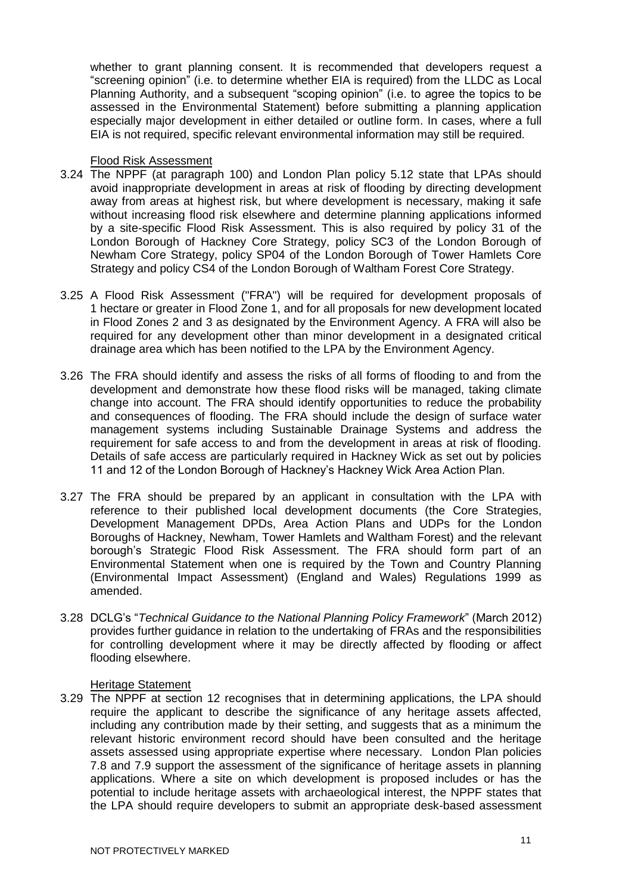whether to grant planning consent. It is recommended that developers request a "screening opinion" (i.e. to determine whether EIA is required) from the LLDC as Local Planning Authority, and a subsequent "scoping opinion" (i.e. to agree the topics to be assessed in the Environmental Statement) before submitting a planning application especially major development in either detailed or outline form. In cases, where a full EIA is not required, specific relevant environmental information may still be required.

# Flood Risk Assessment

- 3.24 The NPPF (at paragraph 100) and London Plan policy 5.12 state that LPAs should avoid inappropriate development in areas at risk of flooding by directing development away from areas at highest risk, but where development is necessary, making it safe without increasing flood risk elsewhere and determine planning applications informed by a site-specific Flood Risk Assessment. This is also required by policy 31 of the London Borough of Hackney Core Strategy, policy SC3 of the London Borough of Newham Core Strategy, policy SP04 of the London Borough of Tower Hamlets Core Strategy and policy CS4 of the London Borough of Waltham Forest Core Strategy.
- 3.25 A Flood Risk Assessment ("FRA") will be required for development proposals of 1 hectare or greater in Flood Zone 1, and for all proposals for new development located in Flood Zones 2 and 3 as designated by the Environment Agency. A FRA will also be required for any development other than minor development in a designated critical drainage area which has been notified to the LPA by the Environment Agency.
- 3.26 The FRA should identify and assess the risks of all forms of flooding to and from the development and demonstrate how these flood risks will be managed, taking climate change into account. The FRA should identify opportunities to reduce the probability and consequences of flooding. The FRA should include the design of surface water management systems including Sustainable Drainage Systems and address the requirement for safe access to and from the development in areas at risk of flooding. Details of safe access are particularly required in Hackney Wick as set out by policies 11 and 12 of the London Borough of Hackney's Hackney Wick Area Action Plan.
- 3.27 The FRA should be prepared by an applicant in consultation with the LPA with reference to their published local development documents (the Core Strategies, Development Management DPDs, Area Action Plans and UDPs for the London Boroughs of Hackney, Newham, Tower Hamlets and Waltham Forest) and the relevant borough's Strategic Flood Risk Assessment. The FRA should form part of an Environmental Statement when one is required by the Town and Country Planning (Environmental Impact Assessment) (England and Wales) Regulations 1999 as amended.
- 3.28 DCLG's "*Technical Guidance to the National Planning Policy Framework*" (March 2012) provides further guidance in relation to the undertaking of FRAs and the responsibilities for controlling development where it may be directly affected by flooding or affect flooding elsewhere.

#### Heritage Statement

3.29 The NPPF at section 12 recognises that in determining applications, the LPA should require the applicant to describe the significance of any heritage assets affected, including any contribution made by their setting, and suggests that as a minimum the relevant historic environment record should have been consulted and the heritage assets assessed using appropriate expertise where necessary. London Plan policies 7.8 and 7.9 support the assessment of the significance of heritage assets in planning applications. Where a site on which development is proposed includes or has the potential to include heritage assets with archaeological interest, the NPPF states that the LPA should require developers to submit an appropriate desk-based assessment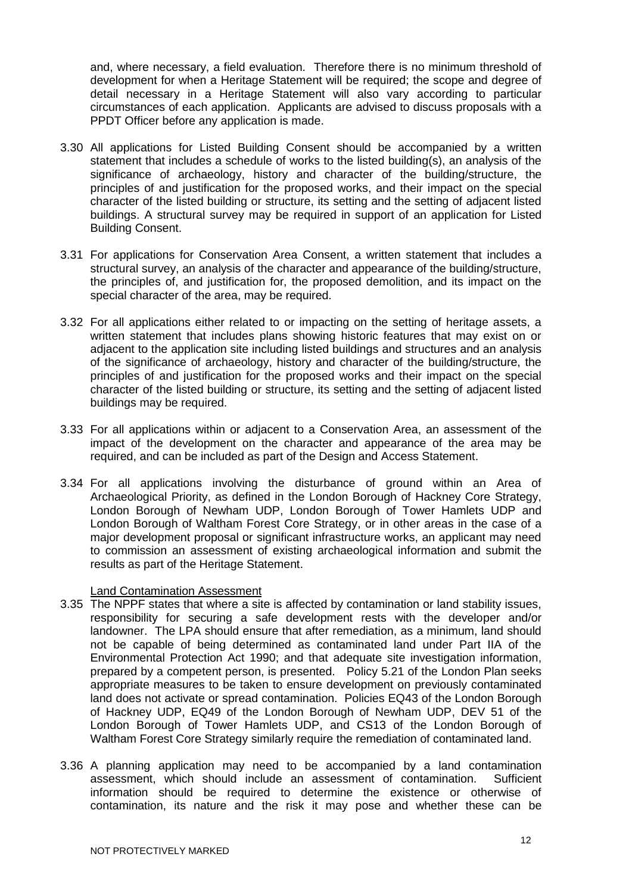and, where necessary, a field evaluation. Therefore there is no minimum threshold of development for when a Heritage Statement will be required; the scope and degree of detail necessary in a Heritage Statement will also vary according to particular circumstances of each application. Applicants are advised to discuss proposals with a PPDT Officer before any application is made.

- 3.30 All applications for Listed Building Consent should be accompanied by a written statement that includes a schedule of works to the listed building(s), an analysis of the significance of archaeology, history and character of the building/structure, the principles of and justification for the proposed works, and their impact on the special character of the listed building or structure, its setting and the setting of adjacent listed buildings. A structural survey may be required in support of an application for Listed Building Consent.
- 3.31 For applications for Conservation Area Consent, a written statement that includes a structural survey, an analysis of the character and appearance of the building/structure, the principles of, and justification for, the proposed demolition, and its impact on the special character of the area, may be required.
- 3.32 For all applications either related to or impacting on the setting of heritage assets, a written statement that includes plans showing historic features that may exist on or adjacent to the application site including listed buildings and structures and an analysis of the significance of archaeology, history and character of the building/structure, the principles of and justification for the proposed works and their impact on the special character of the listed building or structure, its setting and the setting of adjacent listed buildings may be required.
- 3.33 For all applications within or adjacent to a Conservation Area, an assessment of the impact of the development on the character and appearance of the area may be required, and can be included as part of the Design and Access Statement.
- 3.34 For all applications involving the disturbance of ground within an Area of Archaeological Priority, as defined in the London Borough of Hackney Core Strategy, London Borough of Newham UDP, London Borough of Tower Hamlets UDP and London Borough of Waltham Forest Core Strategy, or in other areas in the case of a major development proposal or significant infrastructure works, an applicant may need to commission an assessment of existing archaeological information and submit the results as part of the Heritage Statement.

# Land Contamination Assessment

- 3.35 The NPPF states that where a site is affected by contamination or land stability issues, responsibility for securing a safe development rests with the developer and/or landowner. The LPA should ensure that after remediation, as a minimum, land should not be capable of being determined as contaminated land under Part IIA of the Environmental Protection Act 1990; and that adequate site investigation information, prepared by a competent person, is presented. Policy 5.21 of the London Plan seeks appropriate measures to be taken to ensure development on previously contaminated land does not activate or spread contamination. Policies EQ43 of the London Borough of Hackney UDP, EQ49 of the London Borough of Newham UDP, DEV 51 of the London Borough of Tower Hamlets UDP, and CS13 of the London Borough of Waltham Forest Core Strategy similarly require the remediation of contaminated land.
- 3.36 A planning application may need to be accompanied by a land contamination assessment, which should include an assessment of contamination. Sufficient information should be required to determine the existence or otherwise of contamination, its nature and the risk it may pose and whether these can be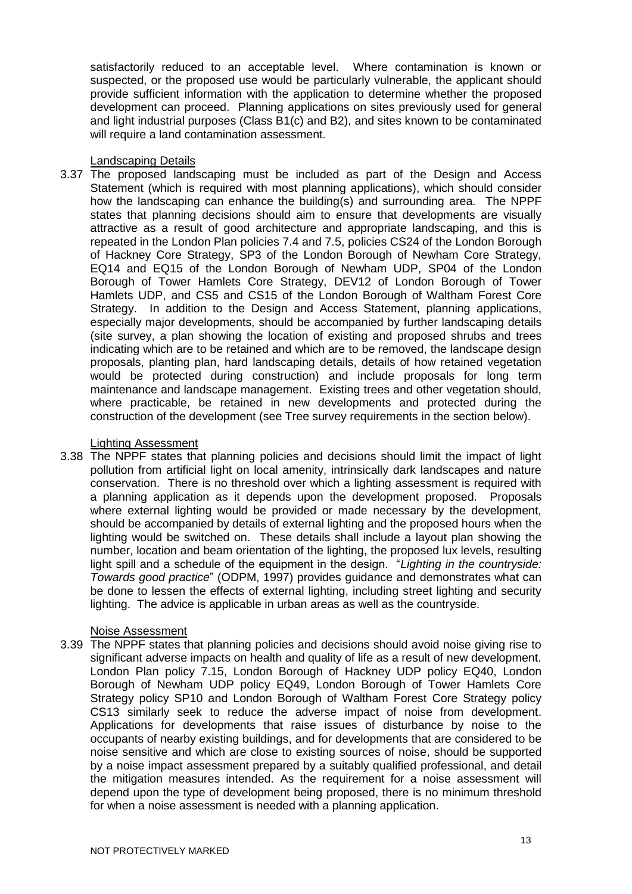satisfactorily reduced to an acceptable level. Where contamination is known or suspected, or the proposed use would be particularly vulnerable, the applicant should provide sufficient information with the application to determine whether the proposed development can proceed. Planning applications on sites previously used for general and light industrial purposes (Class B1(c) and B2), and sites known to be contaminated will require a land contamination assessment.

# Landscaping Details

3.37 The proposed landscaping must be included as part of the Design and Access Statement (which is required with most planning applications), which should consider how the landscaping can enhance the building(s) and surrounding area. The NPPF states that planning decisions should aim to ensure that developments are visually attractive as a result of good architecture and appropriate landscaping, and this is repeated in the London Plan policies 7.4 and 7.5, policies CS24 of the London Borough of Hackney Core Strategy, SP3 of the London Borough of Newham Core Strategy, EQ14 and EQ15 of the London Borough of Newham UDP, SP04 of the London Borough of Tower Hamlets Core Strategy, DEV12 of London Borough of Tower Hamlets UDP, and CS5 and CS15 of the London Borough of Waltham Forest Core Strategy. In addition to the Design and Access Statement, planning applications, especially major developments, should be accompanied by further landscaping details (site survey, a plan showing the location of existing and proposed shrubs and trees indicating which are to be retained and which are to be removed, the landscape design proposals, planting plan, hard landscaping details, details of how retained vegetation would be protected during construction) and include proposals for long term maintenance and landscape management. Existing trees and other vegetation should, where practicable, be retained in new developments and protected during the construction of the development (see Tree survey requirements in the section below).

# Lighting Assessment

3.38 The NPPF states that planning policies and decisions should limit the impact of light pollution from artificial light on local amenity, intrinsically dark landscapes and nature conservation. There is no threshold over which a lighting assessment is required with a planning application as it depends upon the development proposed. Proposals where external lighting would be provided or made necessary by the development, should be accompanied by details of external lighting and the proposed hours when the lighting would be switched on. These details shall include a layout plan showing the number, location and beam orientation of the lighting, the proposed lux levels, resulting light spill and a schedule of the equipment in the design. "*Lighting in the countryside: Towards good practice*" (ODPM, 1997) provides guidance and demonstrates what can be done to lessen the effects of external lighting, including street lighting and security lighting. The advice is applicable in urban areas as well as the countryside.

# Noise Assessment

3.39 The NPPF states that planning policies and decisions should avoid noise giving rise to significant adverse impacts on health and quality of life as a result of new development. London Plan policy 7.15, London Borough of Hackney UDP policy EQ40, London Borough of Newham UDP policy EQ49, London Borough of Tower Hamlets Core Strategy policy SP10 and London Borough of Waltham Forest Core Strategy policy CS13 similarly seek to reduce the adverse impact of noise from development. Applications for developments that raise issues of disturbance by noise to the occupants of nearby existing buildings, and for developments that are considered to be noise sensitive and which are close to existing sources of noise, should be supported by a noise impact assessment prepared by a suitably qualified professional, and detail the mitigation measures intended. As the requirement for a noise assessment will depend upon the type of development being proposed, there is no minimum threshold for when a noise assessment is needed with a planning application.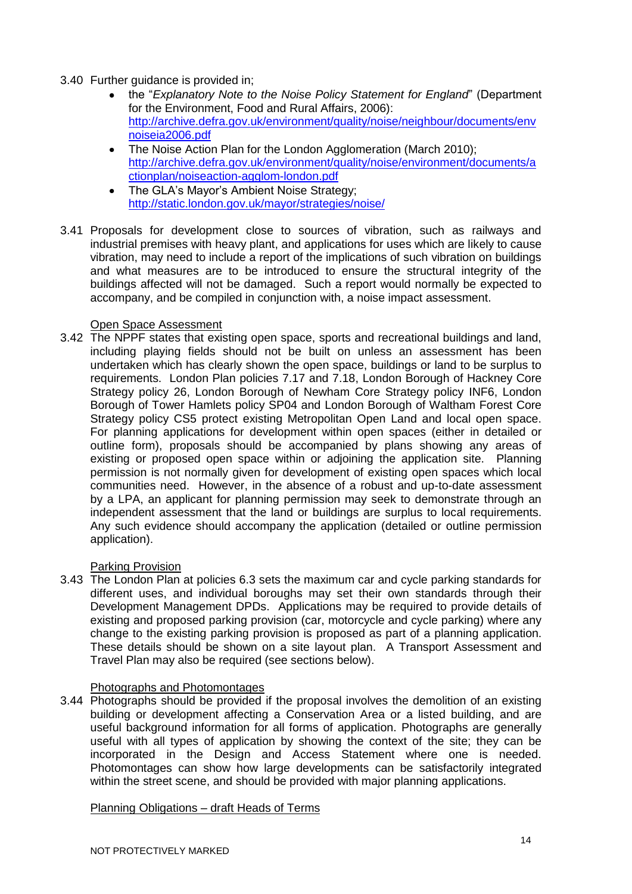- 3.40 Further guidance is provided in;
	- the "*Explanatory Note to the Noise Policy Statement for England*" (Department for the Environment, Food and Rural Affairs, 2006): [http://archive.defra.gov.uk/environment/quality/noise/neighbour/documents/env](http://archive.defra.gov.uk/environment/quality/noise/neighbour/documents/envnoiseia2006.pdf) [noiseia2006.pdf](http://archive.defra.gov.uk/environment/quality/noise/neighbour/documents/envnoiseia2006.pdf)
	- The Noise Action Plan for the London Agglomeration (March 2010);  $\bullet$ [http://archive.defra.gov.uk/environment/quality/noise/environment/documents/a](http://archive.defra.gov.uk/environment/quality/noise/environment/documents/actionplan/noiseaction-agglom-london.pdf) [ctionplan/noiseaction-agglom-london.pdf](http://archive.defra.gov.uk/environment/quality/noise/environment/documents/actionplan/noiseaction-agglom-london.pdf)
	- The GLA's Mayor's Ambient Noise Strategy;  $\bullet$ <http://static.london.gov.uk/mayor/strategies/noise/>
- 3.41 Proposals for development close to sources of vibration, such as railways and industrial premises with heavy plant, and applications for uses which are likely to cause vibration, may need to include a report of the implications of such vibration on buildings and what measures are to be introduced to ensure the structural integrity of the buildings affected will not be damaged. Such a report would normally be expected to accompany, and be compiled in conjunction with, a noise impact assessment.

#### Open Space Assessment

3.42 The NPPF states that existing open space, sports and recreational buildings and land, including playing fields should not be built on unless an assessment has been undertaken which has clearly shown the open space, buildings or land to be surplus to requirements. London Plan policies 7.17 and 7.18, London Borough of Hackney Core Strategy policy 26, London Borough of Newham Core Strategy policy INF6, London Borough of Tower Hamlets policy SP04 and London Borough of Waltham Forest Core Strategy policy CS5 protect existing Metropolitan Open Land and local open space. For planning applications for development within open spaces (either in detailed or outline form), proposals should be accompanied by plans showing any areas of existing or proposed open space within or adjoining the application site. Planning permission is not normally given for development of existing open spaces which local communities need. However, in the absence of a robust and up-to-date assessment by a LPA, an applicant for planning permission may seek to demonstrate through an independent assessment that the land or buildings are surplus to local requirements. Any such evidence should accompany the application (detailed or outline permission application).

# Parking Provision

3.43 The London Plan at policies 6.3 sets the maximum car and cycle parking standards for different uses, and individual boroughs may set their own standards through their Development Management DPDs. Applications may be required to provide details of existing and proposed parking provision (car, motorcycle and cycle parking) where any change to the existing parking provision is proposed as part of a planning application. These details should be shown on a site layout plan. A Transport Assessment and Travel Plan may also be required (see sections below).

# Photographs and Photomontages

3.44 Photographs should be provided if the proposal involves the demolition of an existing building or development affecting a Conservation Area or a listed building, and are useful background information for all forms of application. Photographs are generally useful with all types of application by showing the context of the site; they can be incorporated in the Design and Access Statement where one is needed. Photomontages can show how large developments can be satisfactorily integrated within the street scene, and should be provided with major planning applications.

#### Planning Obligations – draft Heads of Terms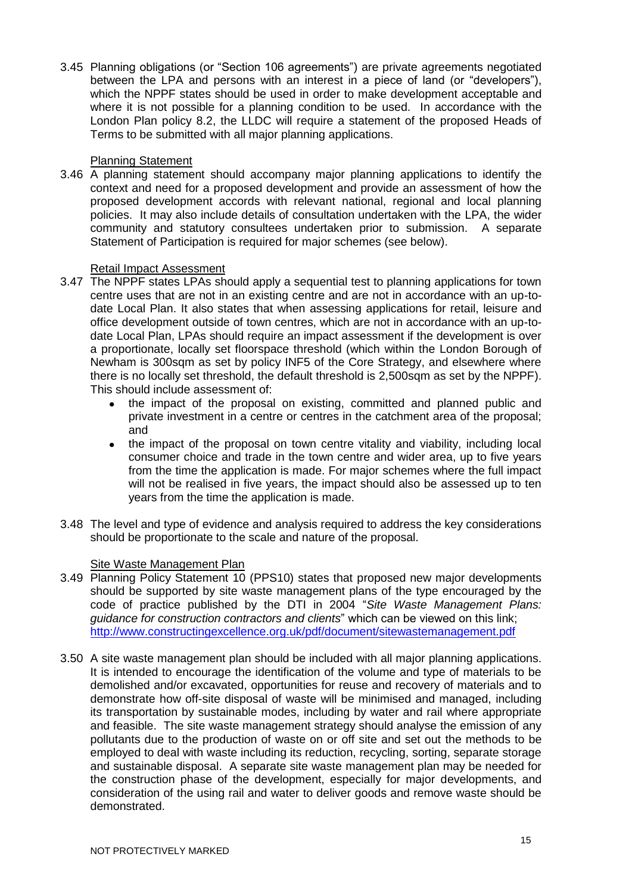3.45 Planning obligations (or "Section 106 agreements") are private agreements negotiated between the LPA and persons with an interest in a piece of land (or "developers"), which the NPPF states should be used in order to make development acceptable and where it is not possible for a planning condition to be used. In accordance with the London Plan policy 8.2, the LLDC will require a statement of the proposed Heads of Terms to be submitted with all major planning applications.

#### Planning Statement

3.46 A planning statement should accompany major planning applications to identify the context and need for a proposed development and provide an assessment of how the proposed development accords with relevant national, regional and local planning policies. It may also include details of consultation undertaken with the LPA, the wider community and statutory consultees undertaken prior to submission. A separate Statement of Participation is required for major schemes (see below).

# Retail Impact Assessment

- 3.47 The NPPF states LPAs should apply a sequential test to planning applications for town centre uses that are not in an existing centre and are not in accordance with an up-todate Local Plan. It also states that when assessing applications for retail, leisure and office development outside of town centres, which are not in accordance with an up-todate Local Plan, LPAs should require an impact assessment if the development is over a proportionate, locally set floorspace threshold (which within the London Borough of Newham is 300sqm as set by policy INF5 of the Core Strategy, and elsewhere where there is no locally set threshold, the default threshold is 2,500sqm as set by the NPPF). This should include assessment of:
	- the impact of the proposal on existing, committed and planned public and private investment in a centre or centres in the catchment area of the proposal; and
	- the impact of the proposal on town centre vitality and viability, including local consumer choice and trade in the town centre and wider area, up to five years from the time the application is made. For major schemes where the full impact will not be realised in five years, the impact should also be assessed up to ten years from the time the application is made.
- 3.48 The level and type of evidence and analysis required to address the key considerations should be proportionate to the scale and nature of the proposal.

# Site Waste Management Plan

- 3.49 Planning Policy Statement 10 (PPS10) states that proposed new major developments should be supported by site waste management plans of the type encouraged by the code of practice published by the DTI in 2004 "*Site Waste Management Plans: guidance for construction contractors and clients*" which can be viewed on this link; <http://www.constructingexcellence.org.uk/pdf/document/sitewastemanagement.pdf>
- 3.50 A site waste management plan should be included with all major planning applications. It is intended to encourage the identification of the volume and type of materials to be demolished and/or excavated, opportunities for reuse and recovery of materials and to demonstrate how off-site disposal of waste will be minimised and managed, including its transportation by sustainable modes, including by water and rail where appropriate and feasible. The site waste management strategy should analyse the emission of any pollutants due to the production of waste on or off site and set out the methods to be employed to deal with waste including its reduction, recycling, sorting, separate storage and sustainable disposal. A separate site waste management plan may be needed for the construction phase of the development, especially for major developments, and consideration of the using rail and water to deliver goods and remove waste should be demonstrated.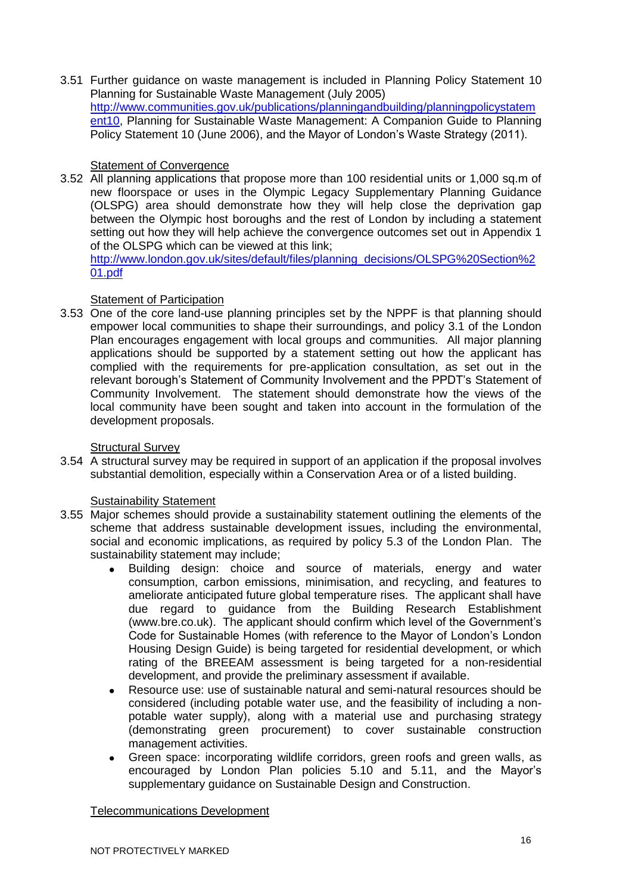3.51 Further guidance on waste management is included in Planning Policy Statement 10 Planning for Sustainable Waste Management (July 2005) [http://www.communities.gov.uk/publications/planningandbuilding/planningpolicystatem](http://www.communities.gov.uk/publications/planningandbuilding/planningpolicystatement10) [ent10,](http://www.communities.gov.uk/publications/planningandbuilding/planningpolicystatement10) Planning for Sustainable Waste Management: A Companion Guide to Planning Policy Statement 10 (June 2006), and the Mayor of London's Waste Strategy (2011).

# Statement of Convergence

3.52 All planning applications that propose more than 100 residential units or 1,000 sq.m of new floorspace or uses in the Olympic Legacy Supplementary Planning Guidance (OLSPG) area should demonstrate how they will help close the deprivation gap between the Olympic host boroughs and the rest of London by including a statement setting out how they will help achieve the convergence outcomes set out in Appendix 1 of the OLSPG which can be viewed at this link;

[http://www.london.gov.uk/sites/default/files/planning\\_decisions/OLSPG%20Section%2](http://www.london.gov.uk/sites/default/files/planning_decisions/OLSPG%20Section%201.pdf) [01.pdf](http://www.london.gov.uk/sites/default/files/planning_decisions/OLSPG%20Section%201.pdf)

# Statement of Participation

3.53 One of the core land-use planning principles set by the NPPF is that planning should empower local communities to shape their surroundings, and policy 3.1 of the London Plan encourages engagement with local groups and communities. All major planning applications should be supported by a statement setting out how the applicant has complied with the requirements for pre-application consultation, as set out in the relevant borough's Statement of Community Involvement and the PPDT's Statement of Community Involvement. The statement should demonstrate how the views of the local community have been sought and taken into account in the formulation of the development proposals.

# Structural Survey

3.54 A structural survey may be required in support of an application if the proposal involves substantial demolition, especially within a Conservation Area or of a listed building.

# Sustainability Statement

- 3.55 Major schemes should provide a sustainability statement outlining the elements of the scheme that address sustainable development issues, including the environmental, social and economic implications, as required by policy 5.3 of the London Plan. The sustainability statement may include;
	- Building design: choice and source of materials, energy and water consumption, carbon emissions, minimisation, and recycling, and features to ameliorate anticipated future global temperature rises. The applicant shall have due regard to guidance from the Building Research Establishment (www.bre.co.uk). The applicant should confirm which level of the Government's Code for Sustainable Homes (with reference to the Mayor of London's London Housing Design Guide) is being targeted for residential development, or which rating of the BREEAM assessment is being targeted for a non-residential development, and provide the preliminary assessment if available.
	- Resource use: use of sustainable natural and semi-natural resources should be considered (including potable water use, and the feasibility of including a nonpotable water supply), along with a material use and purchasing strategy (demonstrating green procurement) to cover sustainable construction management activities.
	- Green space: incorporating wildlife corridors, green roofs and green walls, as  $\bullet$ encouraged by London Plan policies 5.10 and 5.11, and the Mayor's supplementary guidance on Sustainable Design and Construction.

Telecommunications Development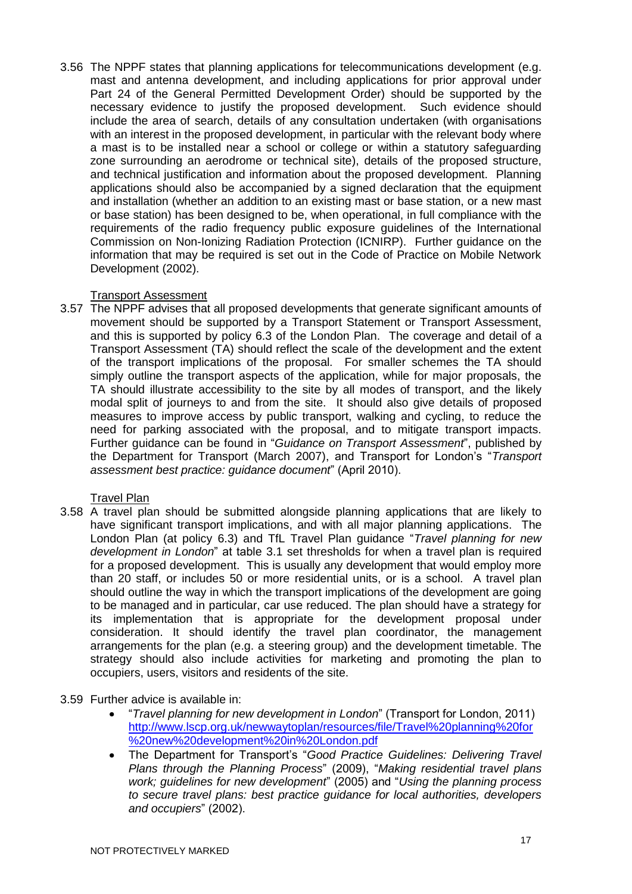3.56 The NPPF states that planning applications for telecommunications development (e.g. mast and antenna development, and including applications for prior approval under Part 24 of the General Permitted Development Order) should be supported by the necessary evidence to justify the proposed development. Such evidence should include the area of search, details of any consultation undertaken (with organisations with an interest in the proposed development, in particular with the relevant body where a mast is to be installed near a school or college or within a statutory safeguarding zone surrounding an aerodrome or technical site), details of the proposed structure, and technical justification and information about the proposed development. Planning applications should also be accompanied by a signed declaration that the equipment and installation (whether an addition to an existing mast or base station, or a new mast or base station) has been designed to be, when operational, in full compliance with the requirements of the radio frequency public exposure guidelines of the International Commission on Non-Ionizing Radiation Protection (ICNIRP). Further guidance on the information that may be required is set out in the Code of Practice on Mobile Network Development (2002).

# Transport Assessment

3.57 The NPPF advises that all proposed developments that generate significant amounts of movement should be supported by a Transport Statement or Transport Assessment, and this is supported by policy 6.3 of the London Plan. The coverage and detail of a Transport Assessment (TA) should reflect the scale of the development and the extent of the transport implications of the proposal. For smaller schemes the TA should simply outline the transport aspects of the application, while for major proposals, the TA should illustrate accessibility to the site by all modes of transport, and the likely modal split of journeys to and from the site. It should also give details of proposed measures to improve access by public transport, walking and cycling, to reduce the need for parking associated with the proposal, and to mitigate transport impacts. Further guidance can be found in "*Guidance on Transport Assessment*", published by the Department for Transport (March 2007), and Transport for London's "*Transport assessment best practice: guidance document*" (April 2010).

# Travel Plan

3.58 A travel plan should be submitted alongside planning applications that are likely to have significant transport implications, and with all major planning applications. The London Plan (at policy 6.3) and TfL Travel Plan guidance "*Travel planning for new development in London*" at table 3.1 set thresholds for when a travel plan is required for a proposed development. This is usually any development that would employ more than 20 staff, or includes 50 or more residential units, or is a school. A travel plan should outline the way in which the transport implications of the development are going to be managed and in particular, car use reduced. The plan should have a strategy for its implementation that is appropriate for the development proposal under consideration. It should identify the travel plan coordinator, the management arrangements for the plan (e.g. a steering group) and the development timetable. The strategy should also include activities for marketing and promoting the plan to occupiers, users, visitors and residents of the site.

# 3.59 Further advice is available in:

- "*Travel planning for new development in London*" (Transport for London, 2011) [http://www.lscp.org.uk/newwaytoplan/resources/file/Travel%20planning%20for](http://www.lscp.org.uk/newwaytoplan/resources/file/Travel%20planning%20for%20new%20development%20in%20London.pdf) [%20new%20development%20in%20London.pdf](http://www.lscp.org.uk/newwaytoplan/resources/file/Travel%20planning%20for%20new%20development%20in%20London.pdf)
- The Department for Transport's "*Good Practice Guidelines: Delivering Travel Plans through the Planning Process*" (2009), "*Making residential travel plans work; guidelines for new development*" (2005) and "*Using the planning process to secure travel plans: best practice guidance for local authorities, developers and occupiers*" (2002).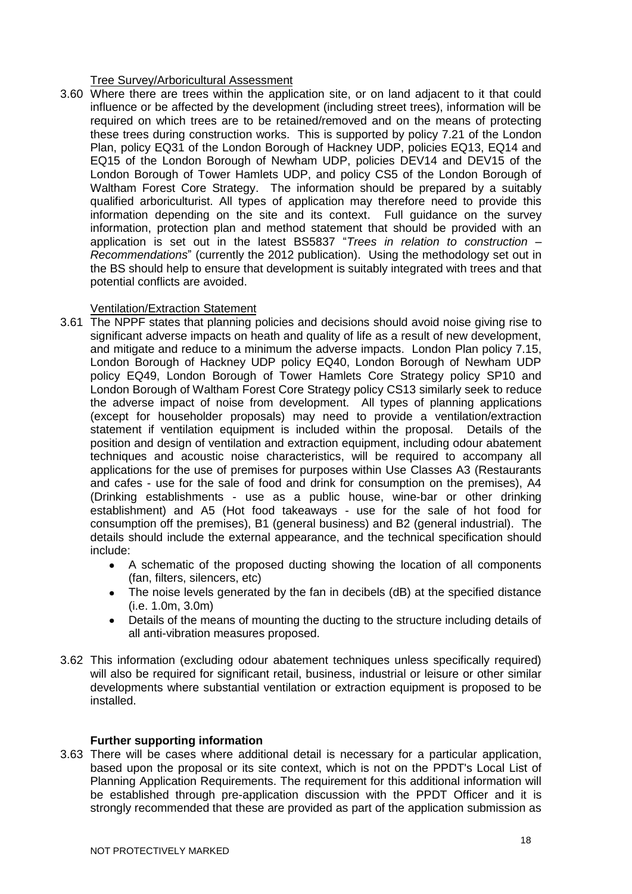#### Tree Survey/Arboricultural Assessment

3.60 Where there are trees within the application site, or on land adjacent to it that could influence or be affected by the development (including street trees), information will be required on which trees are to be retained/removed and on the means of protecting these trees during construction works. This is supported by policy 7.21 of the London Plan, policy EQ31 of the London Borough of Hackney UDP, policies EQ13, EQ14 and EQ15 of the London Borough of Newham UDP, policies DEV14 and DEV15 of the London Borough of Tower Hamlets UDP, and policy CS5 of the London Borough of Waltham Forest Core Strategy. The information should be prepared by a suitably qualified arboriculturist. All types of application may therefore need to provide this information depending on the site and its context. Full guidance on the survey information, protection plan and method statement that should be provided with an application is set out in the latest BS5837 "*Trees in relation to construction – Recommendations*" (currently the 2012 publication). Using the methodology set out in the BS should help to ensure that development is suitably integrated with trees and that potential conflicts are avoided.

#### Ventilation/Extraction Statement

- 3.61 The NPPF states that planning policies and decisions should avoid noise giving rise to significant adverse impacts on heath and quality of life as a result of new development, and mitigate and reduce to a minimum the adverse impacts. London Plan policy 7.15, London Borough of Hackney UDP policy EQ40, London Borough of Newham UDP policy EQ49, London Borough of Tower Hamlets Core Strategy policy SP10 and London Borough of Waltham Forest Core Strategy policy CS13 similarly seek to reduce the adverse impact of noise from development. All types of planning applications (except for householder proposals) may need to provide a ventilation/extraction statement if ventilation equipment is included within the proposal. Details of the position and design of ventilation and extraction equipment, including odour abatement techniques and acoustic noise characteristics, will be required to accompany all applications for the use of premises for purposes within Use Classes A3 (Restaurants and cafes - use for the sale of food and drink for consumption on the premises), A4 (Drinking establishments - use as a public house, wine-bar or other drinking establishment) and A5 (Hot food takeaways - use for the sale of hot food for consumption off the premises), B1 (general business) and B2 (general industrial). The details should include the external appearance, and the technical specification should include:
	- A schematic of the proposed ducting showing the location of all components (fan, filters, silencers, etc)
	- The noise levels generated by the fan in decibels (dB) at the specified distance  $\bullet$ (i.e. 1.0m, 3.0m)
	- Details of the means of mounting the ducting to the structure including details of all anti-vibration measures proposed.
- 3.62 This information (excluding odour abatement techniques unless specifically required) will also be required for significant retail, business, industrial or leisure or other similar developments where substantial ventilation or extraction equipment is proposed to be installed.

# **Further supporting information**

3.63 There will be cases where additional detail is necessary for a particular application, based upon the proposal or its site context, which is not on the PPDT's Local List of Planning Application Requirements. The requirement for this additional information will be established through pre-application discussion with the PPDT Officer and it is strongly recommended that these are provided as part of the application submission as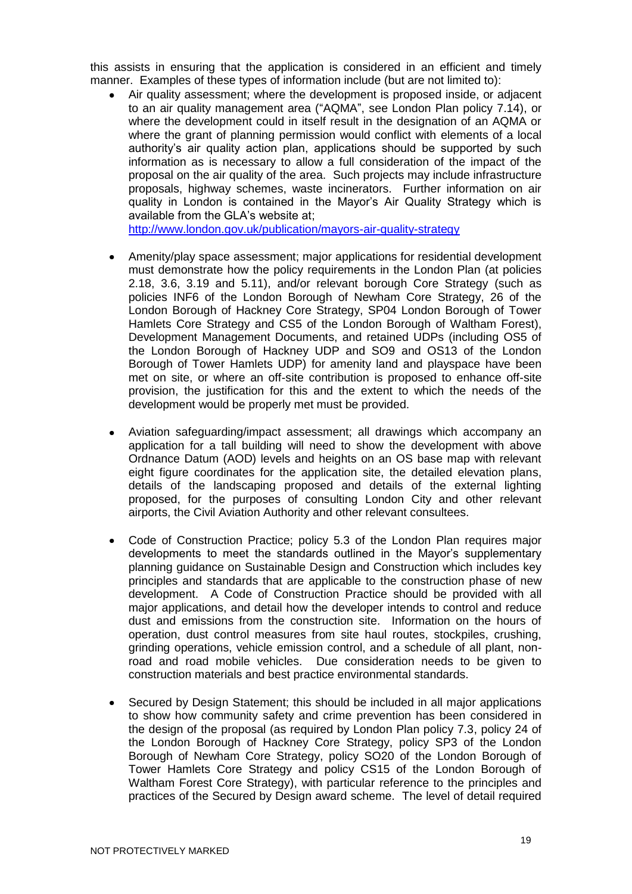this assists in ensuring that the application is considered in an efficient and timely manner. Examples of these types of information include (but are not limited to):

Air quality assessment; where the development is proposed inside, or adjacent to an air quality management area ("AQMA", see London Plan policy 7.14), or where the development could in itself result in the designation of an AQMA or where the grant of planning permission would conflict with elements of a local authority's air quality action plan, applications should be supported by such information as is necessary to allow a full consideration of the impact of the proposal on the air quality of the area. Such projects may include infrastructure proposals, highway schemes, waste incinerators. Further information on air quality in London is contained in the Mayor's Air Quality Strategy which is available from the GLA's website at;

<http://www.london.gov.uk/publication/mayors-air-quality-strategy>

- Amenity/play space assessment; major applications for residential development  $\bullet$ must demonstrate how the policy requirements in the London Plan (at policies 2.18, 3.6, 3.19 and 5.11), and/or relevant borough Core Strategy (such as policies INF6 of the London Borough of Newham Core Strategy, 26 of the London Borough of Hackney Core Strategy, SP04 London Borough of Tower Hamlets Core Strategy and CS5 of the London Borough of Waltham Forest), Development Management Documents, and retained UDPs (including OS5 of the London Borough of Hackney UDP and SO9 and OS13 of the London Borough of Tower Hamlets UDP) for amenity land and playspace have been met on site, or where an off-site contribution is proposed to enhance off-site provision, the justification for this and the extent to which the needs of the development would be properly met must be provided.
- Aviation safeguarding/impact assessment; all drawings which accompany an application for a tall building will need to show the development with above Ordnance Datum (AOD) levels and heights on an OS base map with relevant eight figure coordinates for the application site, the detailed elevation plans, details of the landscaping proposed and details of the external lighting proposed, for the purposes of consulting London City and other relevant airports, the Civil Aviation Authority and other relevant consultees.
- Code of Construction Practice; policy 5.3 of the London Plan requires major developments to meet the standards outlined in the Mayor's supplementary planning guidance on Sustainable Design and Construction which includes key principles and standards that are applicable to the construction phase of new development. A Code of Construction Practice should be provided with all major applications, and detail how the developer intends to control and reduce dust and emissions from the construction site. Information on the hours of operation, dust control measures from site haul routes, stockpiles, crushing, grinding operations, vehicle emission control, and a schedule of all plant, nonroad and road mobile vehicles. Due consideration needs to be given to construction materials and best practice environmental standards.
- Secured by Design Statement; this should be included in all major applications to show how community safety and crime prevention has been considered in the design of the proposal (as required by London Plan policy 7.3, policy 24 of the London Borough of Hackney Core Strategy, policy SP3 of the London Borough of Newham Core Strategy, policy SO20 of the London Borough of Tower Hamlets Core Strategy and policy CS15 of the London Borough of Waltham Forest Core Strategy), with particular reference to the principles and practices of the Secured by Design award scheme. The level of detail required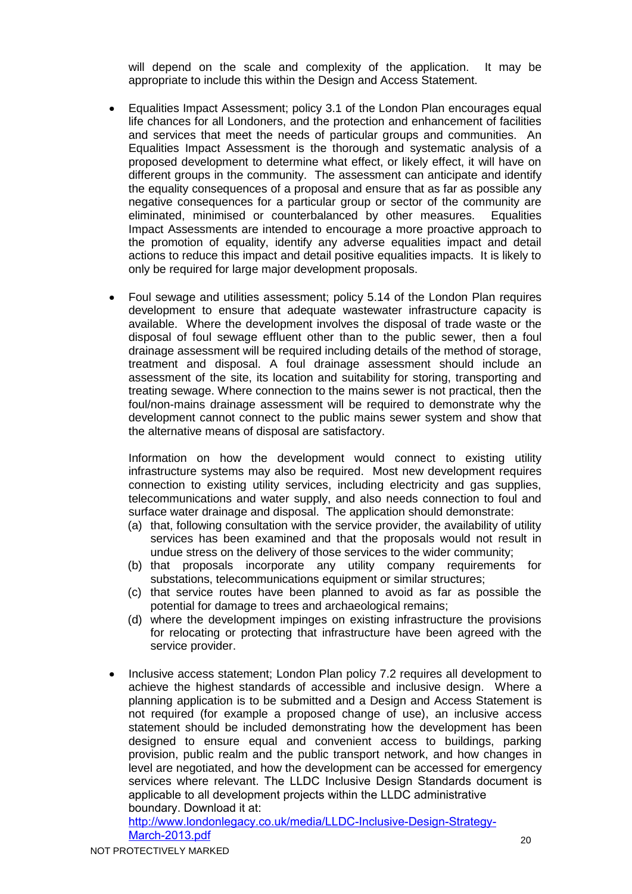will depend on the scale and complexity of the application. It may be appropriate to include this within the Design and Access Statement.

- Equalities Impact Assessment; policy 3.1 of the London Plan encourages equal life chances for all Londoners, and the protection and enhancement of facilities and services that meet the needs of particular groups and communities. An Equalities Impact Assessment is the thorough and systematic analysis of a proposed development to determine what effect, or likely effect, it will have on different groups in the community. The assessment can anticipate and identify the equality consequences of a proposal and ensure that as far as possible any negative consequences for a particular group or sector of the community are eliminated, minimised or counterbalanced by other measures. Equalities Impact Assessments are intended to encourage a more proactive approach to the promotion of equality, identify any adverse equalities impact and detail actions to reduce this impact and detail positive equalities impacts. It is likely to only be required for large major development proposals.
- Foul sewage and utilities assessment; policy 5.14 of the London Plan requires development to ensure that adequate wastewater infrastructure capacity is available. Where the development involves the disposal of trade waste or the disposal of foul sewage effluent other than to the public sewer, then a foul drainage assessment will be required including details of the method of storage, treatment and disposal. A foul drainage assessment should include an assessment of the site, its location and suitability for storing, transporting and treating sewage. Where connection to the mains sewer is not practical, then the foul/non-mains drainage assessment will be required to demonstrate why the development cannot connect to the public mains sewer system and show that the alternative means of disposal are satisfactory.

Information on how the development would connect to existing utility infrastructure systems may also be required. Most new development requires connection to existing utility services, including electricity and gas supplies, telecommunications and water supply, and also needs connection to foul and surface water drainage and disposal. The application should demonstrate:

- (a) that, following consultation with the service provider, the availability of utility services has been examined and that the proposals would not result in undue stress on the delivery of those services to the wider community;
- (b) that proposals incorporate any utility company requirements for substations, telecommunications equipment or similar structures;
- (c) that service routes have been planned to avoid as far as possible the potential for damage to trees and archaeological remains;
- (d) where the development impinges on existing infrastructure the provisions for relocating or protecting that infrastructure have been agreed with the service provider.
- Inclusive access statement; London Plan policy 7.2 requires all development to achieve the highest standards of accessible and inclusive design. Where a planning application is to be submitted and a Design and Access Statement is not required (for example a proposed change of use), an inclusive access statement should be included demonstrating how the development has been designed to ensure equal and convenient access to buildings, parking provision, public realm and the public transport network, and how changes in level are negotiated, and how the development can be accessed for emergency services where relevant. The LLDC Inclusive Design Standards document is applicable to all development projects within the LLDC administrative boundary. Download it at:

[http://www.londonlegacy.co.uk/media/LLDC-Inclusive-Design-Strategy-](http://www.londonlegacy.co.uk/media/LLDC-Inclusive-Design-Strategy-March-2013.pdf)March-2013.pdf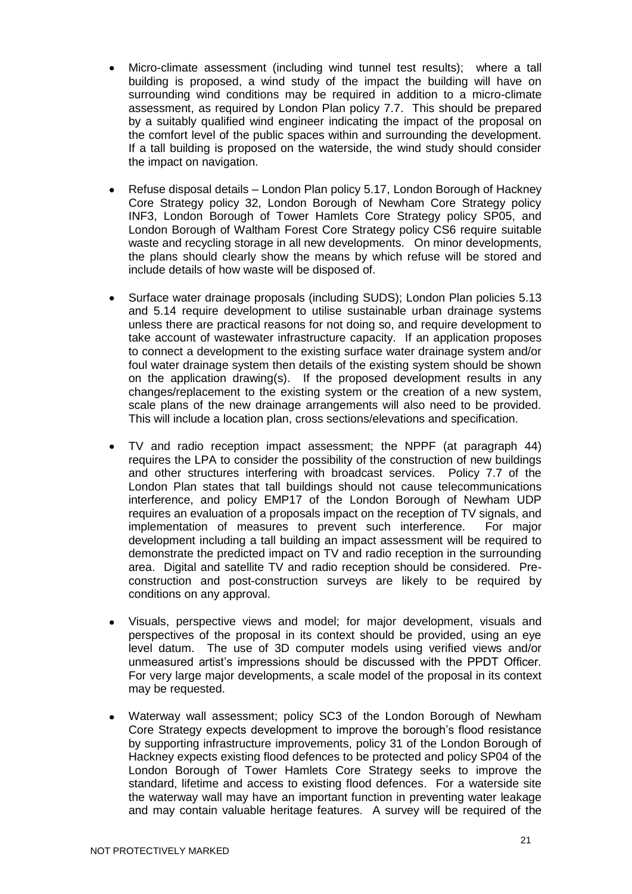- Micro-climate assessment (including wind tunnel test results); where a tall building is proposed, a wind study of the impact the building will have on surrounding wind conditions may be required in addition to a micro-climate assessment, as required by London Plan policy 7.7. This should be prepared by a suitably qualified wind engineer indicating the impact of the proposal on the comfort level of the public spaces within and surrounding the development. If a tall building is proposed on the waterside, the wind study should consider the impact on navigation.
- Refuse disposal details London Plan policy 5.17, London Borough of Hackney Core Strategy policy 32, London Borough of Newham Core Strategy policy INF3, London Borough of Tower Hamlets Core Strategy policy SP05, and London Borough of Waltham Forest Core Strategy policy CS6 require suitable waste and recycling storage in all new developments. On minor developments, the plans should clearly show the means by which refuse will be stored and include details of how waste will be disposed of.
- Surface water drainage proposals (including SUDS); London Plan policies 5.13 and 5.14 require development to utilise sustainable urban drainage systems unless there are practical reasons for not doing so, and require development to take account of wastewater infrastructure capacity. If an application proposes to connect a development to the existing surface water drainage system and/or foul water drainage system then details of the existing system should be shown on the application drawing(s). If the proposed development results in any changes/replacement to the existing system or the creation of a new system, scale plans of the new drainage arrangements will also need to be provided. This will include a location plan, cross sections/elevations and specification.
- TV and radio reception impact assessment; the NPPF (at paragraph 44) requires the LPA to consider the possibility of the construction of new buildings and other structures interfering with broadcast services. Policy 7.7 of the London Plan states that tall buildings should not cause telecommunications interference, and policy EMP17 of the London Borough of Newham UDP requires an evaluation of a proposals impact on the reception of TV signals, and implementation of measures to prevent such interference. For major development including a tall building an impact assessment will be required to demonstrate the predicted impact on TV and radio reception in the surrounding area. Digital and satellite TV and radio reception should be considered. Preconstruction and post-construction surveys are likely to be required by conditions on any approval.
- Visuals, perspective views and model; for major development, visuals and perspectives of the proposal in its context should be provided, using an eye level datum. The use of 3D computer models using verified views and/or unmeasured artist's impressions should be discussed with the PPDT Officer. For very large major developments, a scale model of the proposal in its context may be requested.
- Waterway wall assessment; policy SC3 of the London Borough of Newham Core Strategy expects development to improve the borough's flood resistance by supporting infrastructure improvements, policy 31 of the London Borough of Hackney expects existing flood defences to be protected and policy SP04 of the London Borough of Tower Hamlets Core Strategy seeks to improve the standard, lifetime and access to existing flood defences. For a waterside site the waterway wall may have an important function in preventing water leakage and may contain valuable heritage features. A survey will be required of the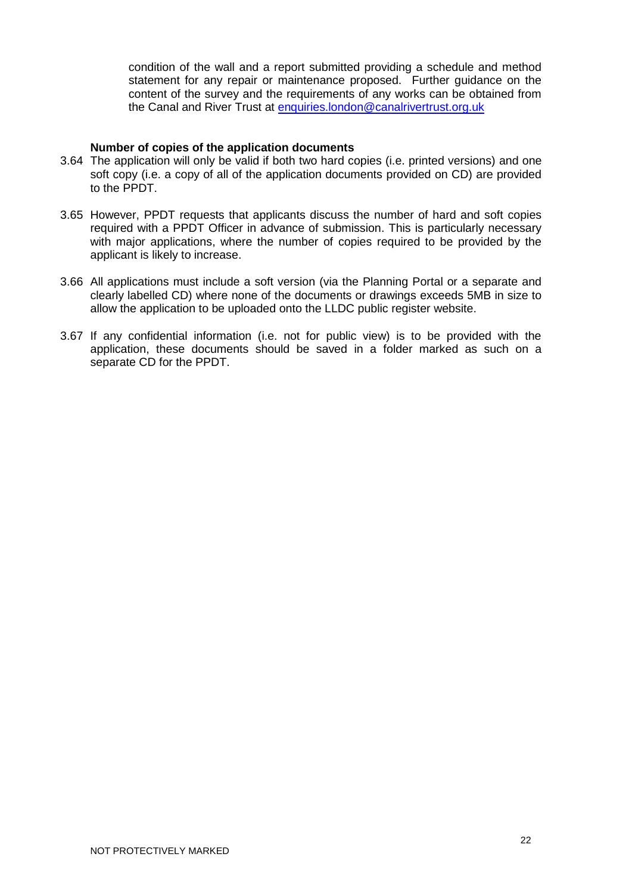condition of the wall and a report submitted providing a schedule and method statement for any repair or maintenance proposed. Further guidance on the content of the survey and the requirements of any works can be obtained from the Canal and River Trust at [enquiries.london@canalrivertrust.org.uk](mailto:enquiries.london@canalrivertrust.org.uk)

#### **Number of copies of the application documents**

- 3.64 The application will only be valid if both two hard copies (i.e. printed versions) and one soft copy (i.e. a copy of all of the application documents provided on CD) are provided to the PPDT.
- 3.65 However, PPDT requests that applicants discuss the number of hard and soft copies required with a PPDT Officer in advance of submission. This is particularly necessary with major applications, where the number of copies required to be provided by the applicant is likely to increase.
- 3.66 All applications must include a soft version (via the Planning Portal or a separate and clearly labelled CD) where none of the documents or drawings exceeds 5MB in size to allow the application to be uploaded onto the LLDC public register website.
- 3.67 If any confidential information (i.e. not for public view) is to be provided with the application, these documents should be saved in a folder marked as such on a separate CD for the PPDT.